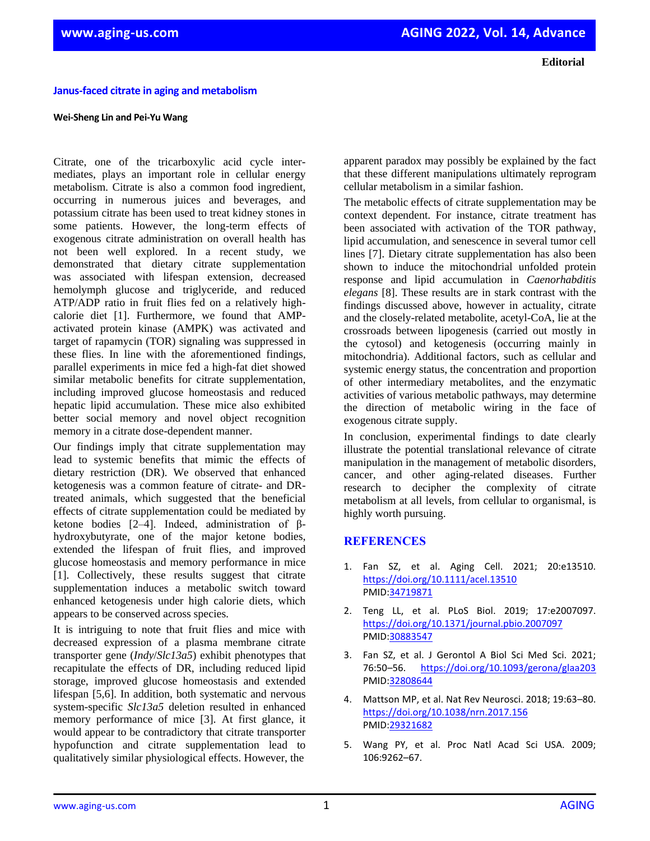**Janus-faced citrate in aging and metabolism** 

## **Wei-Sheng Lin and Pei-Yu Wang**

Citrate, one of the tricarboxylic acid cycle intermediates, plays an important role in cellular energy metabolism. Citrate is also a common food ingredient, occurring in numerous juices and beverages, and potassium citrate has been used to treat kidney stones in some patients. However, the long-term effects of exogenous citrate administration on overall health has not been well explored. In a recent study, we demonstrated that dietary citrate supplementation was associated with lifespan extension, decreased hemolymph glucose and triglyceride, and reduced ATP/ADP ratio in fruit flies fed on a relatively highcalorie diet [1]. Furthermore, we found that AMPactivated protein kinase (AMPK) was activated and target of rapamycin (TOR) signaling was suppressed in these flies. In line with the aforementioned findings, parallel experiments in mice fed a high-fat diet showed similar metabolic benefits for citrate supplementation, including improved glucose homeostasis and reduced hepatic lipid accumulation. These mice also exhibited better social memory and novel object recognition memory in a citrate dose-dependent manner.

Our findings imply that citrate supplementation may lead to systemic benefits that mimic the effects of dietary restriction (DR). We observed that enhanced ketogenesis was a common feature of citrate- and DRtreated animals, which suggested that the beneficial effects of citrate supplementation could be mediated by ketone bodies [2–4]. Indeed, administration of βhydroxybutyrate, one of the major ketone bodies, extended the lifespan of fruit flies, and improved glucose homeostasis and memory performance in mice [1]. Collectively, these results suggest that citrate supplementation induces a metabolic switch toward enhanced ketogenesis under high calorie diets, which appears to be conserved across species.

It is intriguing to note that fruit flies and mice with decreased expression of a plasma membrane citrate transporter gene (*Indy*/*Slc13a5*) exhibit phenotypes that recapitulate the effects of DR, including reduced lipid storage, improved glucose homeostasis and extended lifespan [5,6]. In addition, both systematic and nervous system-specific *Slc13a5* deletion resulted in enhanced memory performance of mice [3]. At first glance, it would appear to be contradictory that citrate transporter hypofunction and citrate supplementation lead to qualitatively similar physiological effects. However, the

apparent paradox may possibly be explained by the fact that these different manipulations ultimately reprogram cellular metabolism in a similar fashion.

The metabolic effects of citrate supplementation may be context dependent. For instance, citrate treatment has been associated with activation of the TOR pathway, lipid accumulation, and senescence in several tumor cell lines [7]. Dietary citrate supplementation has also been shown to induce the mitochondrial unfolded protein response and lipid accumulation in *Caenorhabditis elegans* [8]. These results are in stark contrast with the findings discussed above, however in actuality, citrate and the closely-related metabolite, acetyl-CoA, lie at the crossroads between lipogenesis (carried out mostly in the cytosol) and ketogenesis (occurring mainly in mitochondria). Additional factors, such as cellular and systemic energy status, the concentration and proportion of other intermediary metabolites, and the enzymatic activities of various metabolic pathways, may determine the direction of metabolic wiring in the face of exogenous citrate supply.

In conclusion, experimental findings to date clearly illustrate the potential translational relevance of citrate manipulation in the management of metabolic disorders, cancer, and other aging-related diseases. Further research to decipher the complexity of citrate metabolism at all levels, from cellular to organismal, is highly worth pursuing.

## **REFERENCES**

- 1. Fan SZ, et al. Aging Cell. 2021; 20:e13510. <https://doi.org/10.1111/acel.13510> PMID[:34719871](https://pubmed.ncbi.nlm.nih.gov/34719871/)
- 2. Teng LL, et al. PLoS Biol. 2019; 17:e2007097. <https://doi.org/10.1371/journal.pbio.2007097> [PMID:30883547](https://pubmed.ncbi.nlm.nih.gov/30883547)
- 3. Fan SZ, et al. J Gerontol A Biol Sci Med Sci. 2021; 76:50–56. <https://doi.org/10.1093/gerona/glaa203> [PMID:32808644](https://pubmed.ncbi.nlm.nih.gov/32808644)
- 4. Mattson MP, et al. Nat Rev Neurosci. 2018; 19:63–80. <https://doi.org/10.1038/nrn.2017.156> [PMID:29321682](https://pubmed.ncbi.nlm.nih.gov/29321682)
- 5. Wang PY, et al. Proc Natl Acad Sci USA. 2009; 106:9262–67.